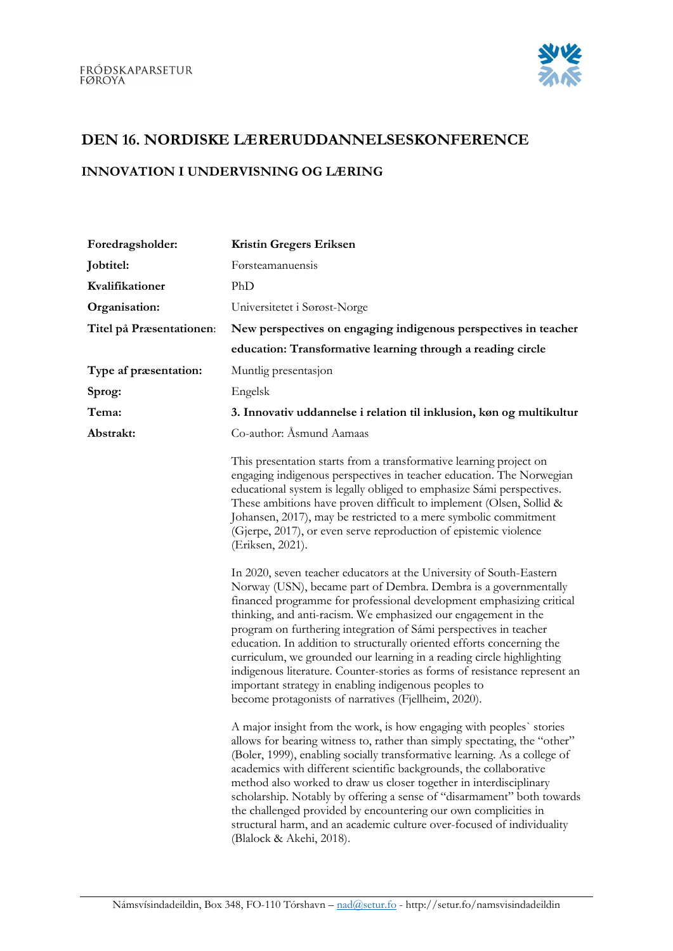

## DEN 16. NORDISKE LÆRERUDDANNELSESKONFERENCE

## INNOVATION I UNDERVISNING OG LÆRING

| Foredragsholder:         | <b>Kristin Gregers Eriksen</b>                                                                                                                                                                                                                                                                                                                                                                                                                                                                                                                                                                                                                                                                         |
|--------------------------|--------------------------------------------------------------------------------------------------------------------------------------------------------------------------------------------------------------------------------------------------------------------------------------------------------------------------------------------------------------------------------------------------------------------------------------------------------------------------------------------------------------------------------------------------------------------------------------------------------------------------------------------------------------------------------------------------------|
| Jobtitel:                | Førsteamanuensis                                                                                                                                                                                                                                                                                                                                                                                                                                                                                                                                                                                                                                                                                       |
| Kvalifikationer          | PhD                                                                                                                                                                                                                                                                                                                                                                                                                                                                                                                                                                                                                                                                                                    |
| Organisation:            | Universitetet i Sørøst-Norge                                                                                                                                                                                                                                                                                                                                                                                                                                                                                                                                                                                                                                                                           |
| Titel på Præsentationen: | New perspectives on engaging indigenous perspectives in teacher                                                                                                                                                                                                                                                                                                                                                                                                                                                                                                                                                                                                                                        |
|                          | education: Transformative learning through a reading circle                                                                                                                                                                                                                                                                                                                                                                                                                                                                                                                                                                                                                                            |
| Type af præsentation:    | Muntlig presentasjon                                                                                                                                                                                                                                                                                                                                                                                                                                                                                                                                                                                                                                                                                   |
| Sprog:                   | Engelsk                                                                                                                                                                                                                                                                                                                                                                                                                                                                                                                                                                                                                                                                                                |
| Tema:                    | 3. Innovativ uddannelse i relation til inklusion, køn og multikultur                                                                                                                                                                                                                                                                                                                                                                                                                                                                                                                                                                                                                                   |
| Abstrakt:                | Co-author: Asmund Aamaas                                                                                                                                                                                                                                                                                                                                                                                                                                                                                                                                                                                                                                                                               |
|                          | This presentation starts from a transformative learning project on<br>engaging indigenous perspectives in teacher education. The Norwegian<br>educational system is legally obliged to emphasize Sámi perspectives.<br>These ambitions have proven difficult to implement (Olsen, Sollid &<br>Johansen, 2017), may be restricted to a mere symbolic commitment<br>(Gjerpe, 2017), or even serve reproduction of epistemic violence<br>(Eriksen, 2021).                                                                                                                                                                                                                                                 |
|                          | In 2020, seven teacher educators at the University of South-Eastern<br>Norway (USN), became part of Dembra. Dembra is a governmentally<br>financed programme for professional development emphasizing critical<br>thinking, and anti-racism. We emphasized our engagement in the<br>program on furthering integration of Sámi perspectives in teacher<br>education. In addition to structurally oriented efforts concerning the<br>curriculum, we grounded our learning in a reading circle highlighting<br>indigenous literature. Counter-stories as forms of resistance represent an<br>important strategy in enabling indigenous peoples to<br>become protagonists of narratives (Fjellheim, 2020). |
|                          | A major insight from the work, is how engaging with peoples' stories<br>allows for bearing witness to, rather than simply spectating, the "other"<br>(Boler, 1999), enabling socially transformative learning. As a college of<br>academics with different scientific backgrounds, the collaborative<br>method also worked to draw us closer together in interdisciplinary<br>scholarship. Notably by offering a sense of "disarmament" both towards<br>the challenged provided by encountering our own complicities in<br>structural harm, and an academic culture over-focused of individuality<br>(Blalock & Akehi, 2018).                                                                          |